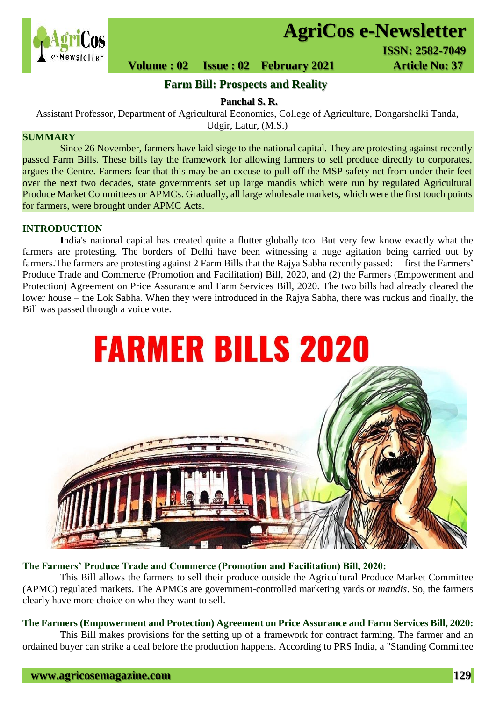

# **AgriCos e-Newsletter**

 **ISSN: 2582-7049**<br> **Newsletter** 

 **Volume : 02 Issue : 02 February 2021 4rticle No: 37** 

# **Farm Bill: Prospects and Reality**

**Panchal S. R.**

Assistant Professor, Department of Agricultural Economics, College of Agriculture, Dongarshelki Tanda, Udgir, Latur, (M.S.)

# **SUMMARY**

 Since 26 November, farmers have laid siege to the national capital. They are protesting against recently passed Farm Bills. These bills lay the framework for allowing farmers to sell produce directly to corporates, argues the Centre. Farmers fear that this may be an excuse to pull off the MSP safety net from under their feet over the next two decades, state governments set up large mandis which were run by regulated Agricultural Produce Market Committees or APMCs. Gradually, all large wholesale markets, which were the first touch points for farmers, were brought under APMC Acts.

# **INTRODUCTION**

**I**ndia's national capital has created quite a flutter globally too. But very few know exactly what the farmers are protesting. The borders of Delhi have been witnessing a huge agitation being carried out by farmers. The farmers are protesting against 2 Farm Bills that the Rajya Sabha recently passed: first the Farmers' Produce Trade and Commerce (Promotion and Facilitation) Bill, 2020, and (2) the Farmers (Empowerment and Protection) Agreement on Price Assurance and Farm Services Bill, 2020. The two bills had already cleared the lower house – the Lok Sabha. When they were introduced in the Rajya Sabha, there was ruckus and finally, the Bill was passed through a voice vote.



#### **The Farmers' Produce Trade and Commerce (Promotion and Facilitation) Bill, 2020:**

This Bill allows the farmers to sell their produce outside the Agricultural Produce Market Committee (APMC) regulated markets. The APMCs are government-controlled marketing yards or *mandis*. So, the farmers clearly have more choice on who they want to sell.

# **The Farmers (Empowerment and Protection) Agreement on Price Assurance and Farm Services Bill, 2020:**

This Bill makes provisions for the setting up of a framework for contract farming. The farmer and an ordained buyer can strike a deal before the production happens. According to PRS India, a "Standing Committee